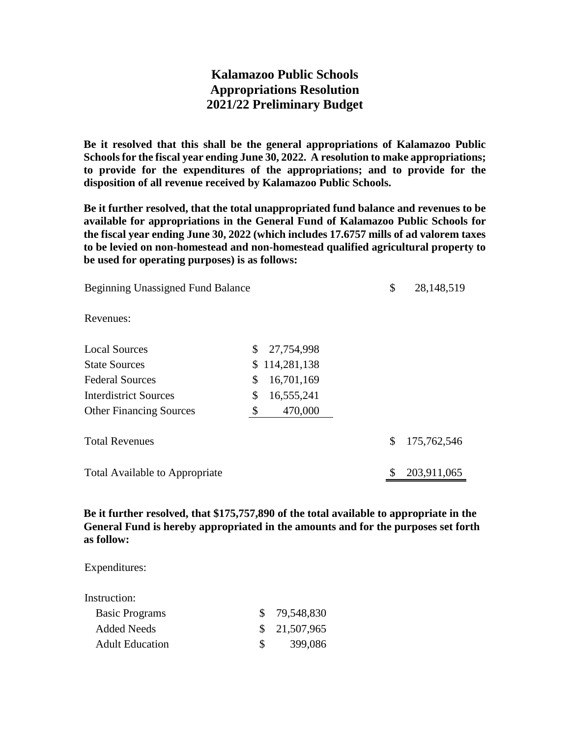## **Kalamazoo Public Schools Appropriations Resolution 2021/22 Preliminary Budget**

**Be it resolved that this shall be the general appropriations of Kalamazoo Public Schools for the fiscal year ending June 30, 2022. A resolution to make appropriations; to provide for the expenditures of the appropriations; and to provide for the disposition of all revenue received by Kalamazoo Public Schools.**

**Be it further resolved, that the total unappropriated fund balance and revenues to be available for appropriations in the General Fund of Kalamazoo Public Schools for the fiscal year ending June 30, 2022 (which includes 17.6757 mills of ad valorem taxes to be levied on non-homestead and non-homestead qualified agricultural property to be used for operating purposes) is as follows:**

| <b>Beginning Unassigned Fund Balance</b> |    | \$<br>28,148,519 |                   |
|------------------------------------------|----|------------------|-------------------|
| Revenues:                                |    |                  |                   |
| <b>Local Sources</b>                     | \$ | 27,754,998       |                   |
| <b>State Sources</b>                     | \$ | 114,281,138      |                   |
| <b>Federal Sources</b>                   | \$ | 16,701,169       |                   |
| <b>Interdistrict Sources</b>             | \$ | 16,555,241       |                   |
| <b>Other Financing Sources</b>           | \$ | 470,000          |                   |
| <b>Total Revenues</b>                    |    |                  | \$<br>175,762,546 |
| <b>Total Available to Appropriate</b>    |    |                  | 203,911,065       |

**Be it further resolved, that \$175,757,890 of the total available to appropriate in the General Fund is hereby appropriated in the amounts and for the purposes set forth as follow:**

Expenditures:

| Instruction:           |              |               |
|------------------------|--------------|---------------|
| <b>Basic Programs</b>  |              | \$ 79,548,830 |
| <b>Added Needs</b>     |              | \$21,507,965  |
| <b>Adult Education</b> | $\mathbb{S}$ | 399,086       |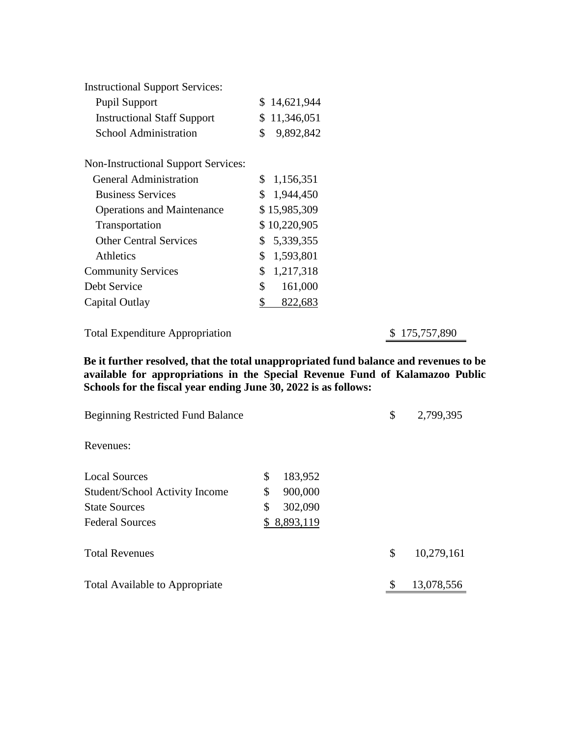| <b>Instructional Support Services:</b>     |                |              |
|--------------------------------------------|----------------|--------------|
| <b>Pupil Support</b>                       | S.             | 14,621,944   |
| <b>Instructional Staff Support</b>         | \$             | 11,346,051   |
| School Administration                      | \$             | 9,892,842    |
| <b>Non-Instructional Support Services:</b> |                |              |
| General Administration                     | \$             | 1,156,351    |
| <b>Business Services</b>                   | $\mathbb{S}^-$ | 1,944,450    |
| <b>Operations and Maintenance</b>          |                | \$15,985,309 |
| Transportation                             |                | \$10,220,905 |
| <b>Other Central Services</b>              | \$             | 5,339,355    |
| <b>Athletics</b>                           | \$             | 1,593,801    |
| <b>Community Services</b>                  | \$             | 1,217,318    |
| Debt Service                               | $\mathbb{S}^-$ | 161,000      |
| Capital Outlay                             | \$             | 822,683      |

Total Expenditure Appropriation \$ 175,757,890

**Be it further resolved, that the total unappropriated fund balance and revenues to be available for appropriations in the Special Revenue Fund of Kalamazoo Public Schools for the fiscal year ending June 30, 2022 is as follows:**

| <b>Beginning Restricted Fund Balance</b> |                 | \$<br>2,799,395  |
|------------------------------------------|-----------------|------------------|
| Revenues:                                |                 |                  |
| <b>Local Sources</b>                     | \$<br>183,952   |                  |
| Student/School Activity Income           | \$<br>900,000   |                  |
| <b>State Sources</b>                     | \$<br>302,090   |                  |
| <b>Federal Sources</b>                   | 8,893,119<br>\$ |                  |
| <b>Total Revenues</b>                    |                 | \$<br>10,279,161 |
| <b>Total Available to Appropriate</b>    |                 | \$<br>13,078,556 |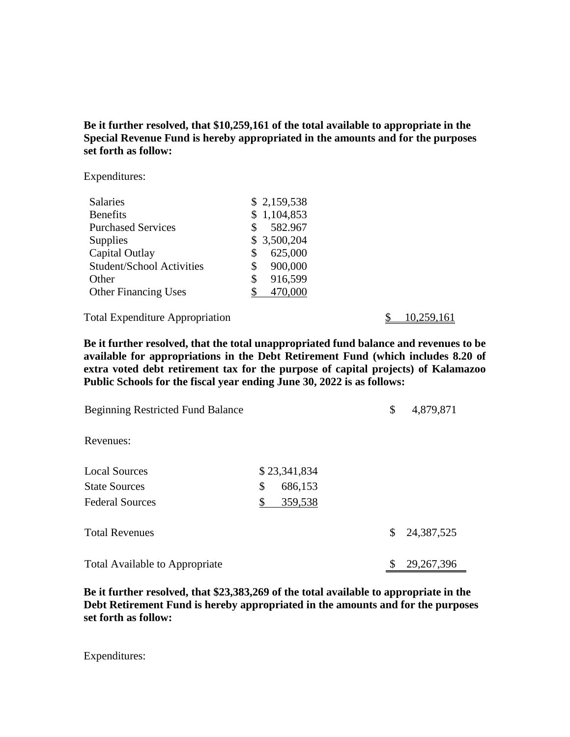**Be it further resolved, that \$10,259,161 of the total available to appropriate in the Special Revenue Fund is hereby appropriated in the amounts and for the purposes set forth as follow:**

Expenditures:

| <b>Salaries</b>                  | \$2,159,538   |
|----------------------------------|---------------|
| <b>Benefits</b>                  | \$1,104,853   |
| <b>Purchased Services</b>        | 582.967<br>\$ |
| Supplies                         | \$3,500,204   |
| Capital Outlay                   | 625,000<br>\$ |
| <b>Student/School Activities</b> | 900,000<br>S  |
| Other                            | 916,599<br>\$ |
| <b>Other Financing Uses</b>      | 470,000       |

Total Expenditure Appropriation  $\frac{$}{2}$  10,259,161

**Be it further resolved, that the total unappropriated fund balance and revenues to be available for appropriations in the Debt Retirement Fund (which includes 8.20 of extra voted debt retirement tax for the purpose of capital projects) of Kalamazoo Public Schools for the fiscal year ending June 30, 2022 is as follows:**

| <b>Beginning Restricted Fund Balance</b> |               | \$<br>4,879,871    |
|------------------------------------------|---------------|--------------------|
| Revenues:                                |               |                    |
| <b>Local Sources</b>                     | \$23,341,834  |                    |
| <b>State Sources</b>                     | \$<br>686,153 |                    |
| <b>Federal Sources</b>                   | 359,538<br>\$ |                    |
| <b>Total Revenues</b>                    |               | \$<br>24,387,525   |
| <b>Total Available to Appropriate</b>    |               | \$<br>29, 267, 396 |

**Be it further resolved, that \$23,383,269 of the total available to appropriate in the Debt Retirement Fund is hereby appropriated in the amounts and for the purposes set forth as follow:**

Expenditures: